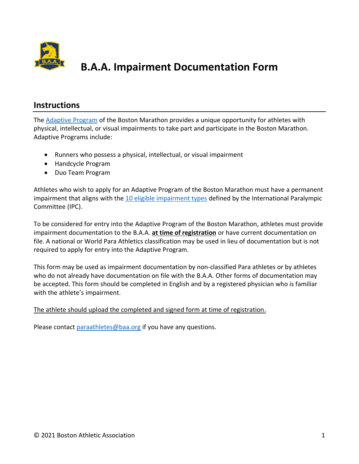

# **B.A.A. Impairment Documentation Form**

#### **Instructions**

The <u>Adaptive [Program](https://www.baa.org/races/boston-marathon/para-athletes)</u> of the Boston Marathon provides a unique opportunity for athletes with physical, intellectual, or visual impairments to take part and participate in the Boston Marathon. Adaptive Programs include:

- Runners who possess a physical, intellectual, or visual impairment
- Handcycle Program
- Duo Team Program

 Athletes who wish to apply for an Adaptive Program of the Boston Marathon must have a permanent [impairment](https://www.paralympic.org/athletics/classification) that aligns with the 10 eligible impairment types defined by the International Paralympic Committee (IPC).

 To be considered for entry into the Adaptive Program of the Boston Marathon, athletes must provide  impairment documentation to the B.A.A. **at time of registration** or have current documentation on file. A national or World Para Athletics classification may be used in lieu of documentation but is not required to apply for entry into the Adaptive Program.

 This form may be used as impairment documentation by non-classified Para athletes or by athletes who do not already have documentation on file with the B.A.A. Other forms of documentation may be accepted. This form should be completed in English and by a registered physician who is familiar with the athlete's impairment.

#### The athlete should upload the completed and signed form at time of registration.

Please contact *[paraathletes@baa.org](mailto:paraathletes@baa.org)* if you have any questions.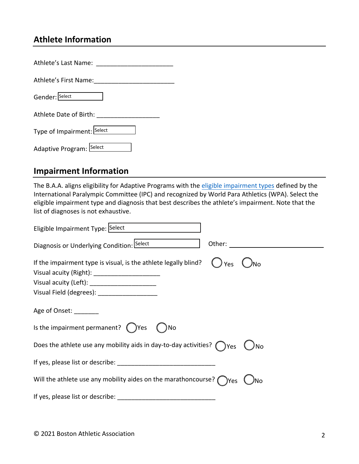### **Athlete Information**

| Athlete's Last Name:       |
|----------------------------|
| Athlete's First Name:      |
| Gender: Select             |
| Athlete Date of Birth:     |
| Type of Impairment: Select |
| Adaptive Program: Select   |

#### **Impairment Information**

The B.A.A. aligns eligibility for Adaptive Programs with the [eligible impairment](https://www.paralympic.org/athletics/classification) types defined by the International Paralympic Committee (IPC) and recognized by World Para Athletics (WPA). Select the eligible impairment type and diagnosis that best describes the athlete's impairment. Note that the list of diagnoses is not exhaustive.

| Eligible Impairment Type: Select                                                        |
|-----------------------------------------------------------------------------------------|
| Diagnosis or Underlying Condition: Select <b>Summan</b>                                 |
| If the impairment type is visual, is the athlete legally blind?<br>Yes                  |
| Visual acuity (Left): _______________________                                           |
| Visual Field (degrees): _____________________                                           |
| Age of Onset:                                                                           |
| Is the impairment permanent? $($ $)$ Yes<br>No                                          |
| Does the athlete use any mobility aids in day-to-day activities? $\bigcap_{\text{Yes}}$ |
|                                                                                         |
| Will the athlete use any mobility aides on the marathoncourse? $\bigcap_{Yes}$<br>、JNo  |
|                                                                                         |